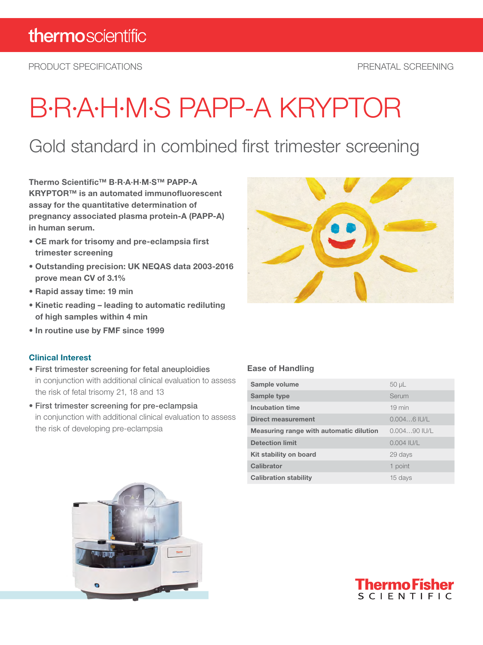PRODUCT SPECIFICATIONS PRENATAL SCREENING

# B·R·A·H·M·S PAPP-A KRYPTOR

### Gold standard in combined first trimester screening

Thermo Scientific™ B·R·A·H·M·S™ PAPP-A KRYPTOR™ is an automated immunofluorescent assay for the quantitative determination of pregnancy associated plasma protein-A (PAPP-A) in human serum.

- CE mark for trisomy and pre-eclampsia first trimester screening
- Outstanding precision: UK NEQAS data 2003-2016 prove mean CV of 3.1%
- Rapid assay time: 19 min
- Kinetic reading leading to automatic rediluting of high samples within 4 min
- In routine use by FMF since 1999

#### Clinical Interest

- First trimester screening for fetal aneuploidies in conjunction with additional clinical evaluation to assess the risk of fetal trisomy 21, 18 and 13
- First trimester screening for pre-eclampsia in conjunction with additional clinical evaluation to assess the risk of developing pre-eclampsia

#### Ease of Handling

| Sample volume                           | $50 \mu L$       |
|-----------------------------------------|------------------|
| Sample type                             | Serum            |
| Incubation time                         | $19 \text{ min}$ |
| Direct measurement                      | $0.0046$ IU/L    |
| Measuring range with automatic dilution | $0.00490$ IU/L   |
| <b>Detection limit</b>                  | $0.004$ IU/L     |
| Kit stability on board                  | 29 days          |
| Calibrator                              | 1 point          |
| <b>Calibration stability</b>            | 15 days          |